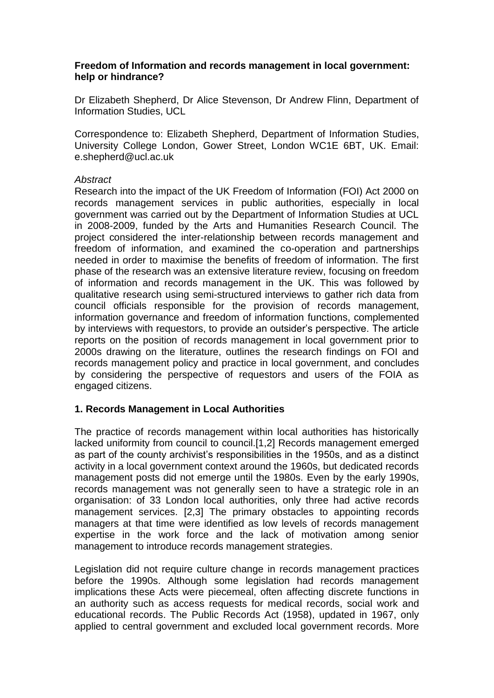#### **Freedom of Information and records management in local government: help or hindrance?**

Dr Elizabeth Shepherd, Dr Alice Stevenson, Dr Andrew Flinn, Department of Information Studies, UCL

Correspondence to: Elizabeth Shepherd, Department of Information Studies, University College London, Gower Street, London WC1E 6BT, UK. Email: e.shepherd@ucl.ac.uk

#### *Abstract*

Research into the impact of the UK Freedom of Information (FOI) Act 2000 on records management services in public authorities, especially in local government was carried out by the Department of Information Studies at UCL in 2008-2009, funded by the Arts and Humanities Research Council. The project considered the inter-relationship between records management and freedom of information, and examined the co-operation and partnerships needed in order to maximise the benefits of freedom of information. The first phase of the research was an extensive literature review, focusing on freedom of information and records management in the UK. This was followed by qualitative research using semi-structured interviews to gather rich data from council officials responsible for the provision of records management, information governance and freedom of information functions, complemented by interviews with requestors, to provide an outsider's perspective. The article reports on the position of records management in local government prior to 2000s drawing on the literature, outlines the research findings on FOI and records management policy and practice in local government, and concludes by considering the perspective of requestors and users of the FOIA as engaged citizens.

## **1. Records Management in Local Authorities**

The practice of records management within local authorities has historically lacked uniformity from council to council.[1,2] Records management emerged as part of the county archivist's responsibilities in the 1950s, and as a distinct activity in a local government context around the 1960s, but dedicated records management posts did not emerge until the 1980s. Even by the early 1990s, records management was not generally seen to have a strategic role in an organisation: of 33 London local authorities, only three had active records management services. [2,3] The primary obstacles to appointing records managers at that time were identified as low levels of records management expertise in the work force and the lack of motivation among senior management to introduce records management strategies.

Legislation did not require culture change in records management practices before the 1990s. Although some legislation had records management implications these Acts were piecemeal, often affecting discrete functions in an authority such as access requests for medical records, social work and educational records. The Public Records Act (1958), updated in 1967, only applied to central government and excluded local government records. More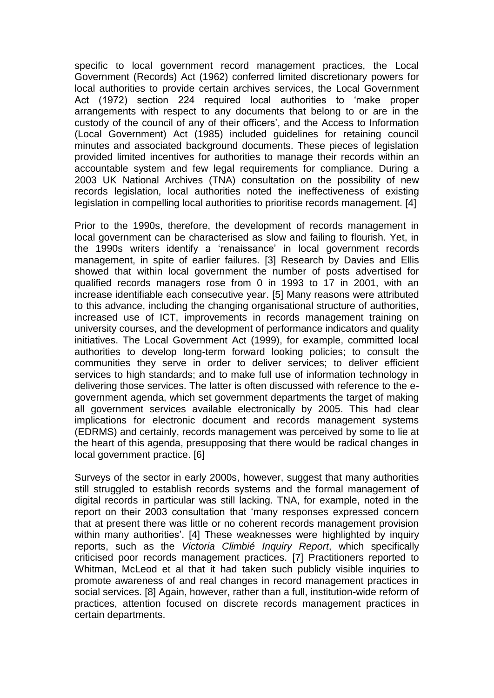specific to local government record management practices, the Local Government (Records) Act (1962) conferred limited discretionary powers for local authorities to provide certain archives services, the Local Government Act (1972) section 224 required local authorities to 'make proper arrangements with respect to any documents that belong to or are in the custody of the council of any of their officers', and the Access to Information (Local Government) Act (1985) included guidelines for retaining council minutes and associated background documents. These pieces of legislation provided limited incentives for authorities to manage their records within an accountable system and few legal requirements for compliance. During a 2003 UK National Archives (TNA) consultation on the possibility of new records legislation, local authorities noted the ineffectiveness of existing legislation in compelling local authorities to prioritise records management. [4]

Prior to the 1990s, therefore, the development of records management in local government can be characterised as slow and failing to flourish. Yet, in the 1990s writers identify a 'renaissance' in local government records management, in spite of earlier failures. [3] Research by Davies and Ellis showed that within local government the number of posts advertised for qualified records managers rose from 0 in 1993 to 17 in 2001, with an increase identifiable each consecutive year. [5] Many reasons were attributed to this advance, including the changing organisational structure of authorities, increased use of ICT, improvements in records management training on university courses, and the development of performance indicators and quality initiatives. The Local Government Act (1999), for example, committed local authorities to develop long-term forward looking policies; to consult the communities they serve in order to deliver services; to deliver efficient services to high standards; and to make full use of information technology in delivering those services. The latter is often discussed with reference to the egovernment agenda, which set government departments the target of making all government services available electronically by 2005. This had clear implications for electronic document and records management systems (EDRMS) and certainly, records management was perceived by some to lie at the heart of this agenda, presupposing that there would be radical changes in local government practice. [6]

Surveys of the sector in early 2000s, however, suggest that many authorities still struggled to establish records systems and the formal management of digital records in particular was still lacking. TNA, for example, noted in the report on their 2003 consultation that 'many responses expressed concern that at present there was little or no coherent records management provision within many authorities'. [4] These weaknesses were highlighted by inquiry reports, such as the *Victoria Climbié Inquiry Report*, which specifically criticised poor records management practices. [7] Practitioners reported to Whitman, McLeod et al that it had taken such publicly visible inquiries to promote awareness of and real changes in record management practices in social services. [8] Again, however, rather than a full, institution-wide reform of practices, attention focused on discrete records management practices in certain departments.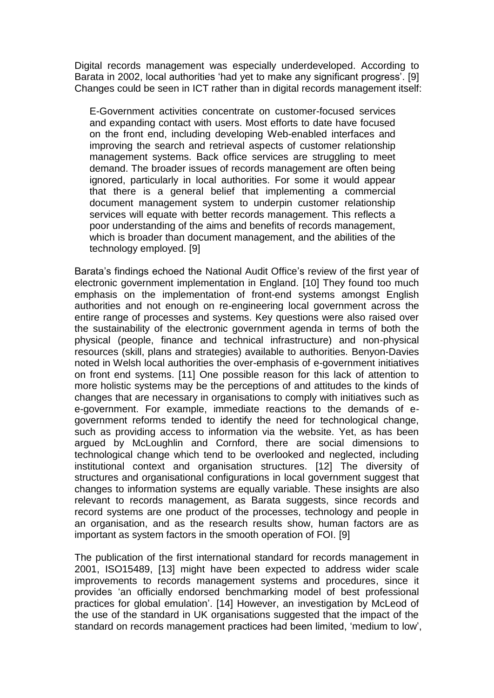Digital records management was especially underdeveloped. According to Barata in 2002, local authorities 'had yet to make any significant progress'. [9] Changes could be seen in ICT rather than in digital records management itself:

E-Government activities concentrate on customer-focused services and expanding contact with users. Most efforts to date have focused on the front end, including developing Web-enabled interfaces and improving the search and retrieval aspects of customer relationship management systems. Back office services are struggling to meet demand. The broader issues of records management are often being ignored, particularly in local authorities. For some it would appear that there is a general belief that implementing a commercial document management system to underpin customer relationship services will equate with better records management. This reflects a poor understanding of the aims and benefits of records management, which is broader than document management, and the abilities of the technology employed. [9]

Barata's findings echoed the National Audit Office's review of the first year of electronic government implementation in England. [10] They found too much emphasis on the implementation of front-end systems amongst English authorities and not enough on re-engineering local government across the entire range of processes and systems. Key questions were also raised over the sustainability of the electronic government agenda in terms of both the physical (people, finance and technical infrastructure) and non-physical resources (skill, plans and strategies) available to authorities. Benyon-Davies noted in Welsh local authorities the over-emphasis of e-government initiatives on front end systems. [11] One possible reason for this lack of attention to more holistic systems may be the perceptions of and attitudes to the kinds of changes that are necessary in organisations to comply with initiatives such as e-government. For example, immediate reactions to the demands of egovernment reforms tended to identify the need for technological change, such as providing access to information via the website. Yet, as has been argued by McLoughlin and Cornford, there are social dimensions to technological change which tend to be overlooked and neglected, including institutional context and organisation structures. [12] The diversity of structures and organisational configurations in local government suggest that changes to information systems are equally variable. These insights are also relevant to records management, as Barata suggests, since records and record systems are one product of the processes, technology and people in an organisation, and as the research results show, human factors are as important as system factors in the smooth operation of FOI. [9]

The publication of the first international standard for records management in 2001, ISO15489, [13] might have been expected to address wider scale improvements to records management systems and procedures, since it provides 'an officially endorsed benchmarking model of best professional practices for global emulation'. [14] However, an investigation by McLeod of the use of the standard in UK organisations suggested that the impact of the standard on records management practices had been limited, 'medium to low',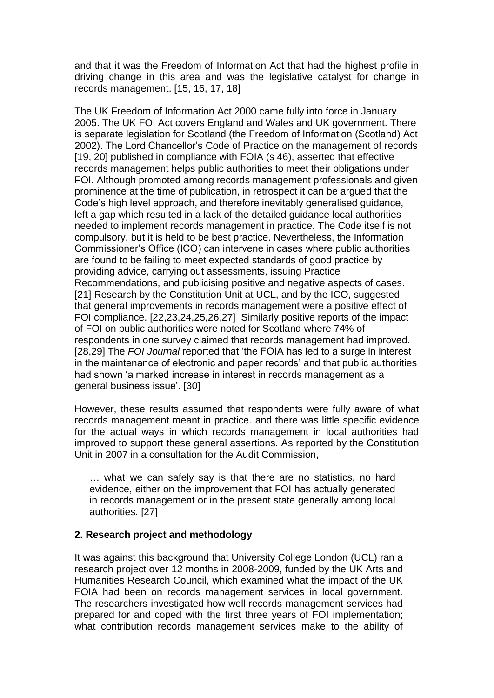and that it was the Freedom of Information Act that had the highest profile in driving change in this area and was the legislative catalyst for change in records management. [15, 16, 17, 18]

The UK Freedom of Information Act 2000 came fully into force in January 2005. The UK FOI Act covers England and Wales and UK government. There is separate legislation for Scotland (the Freedom of Information (Scotland) Act 2002). The Lord Chancellor's Code of Practice on the management of records [19, 20] published in compliance with FOIA (s 46), asserted that effective records management helps public authorities to meet their obligations under FOI. Although promoted among records management professionals and given prominence at the time of publication, in retrospect it can be argued that the Code's high level approach, and therefore inevitably generalised guidance, left a gap which resulted in a lack of the detailed guidance local authorities needed to implement records management in practice. The Code itself is not compulsory, but it is held to be best practice. Nevertheless, the Information Commissioner's Office (ICO) can intervene in cases where public authorities are found to be failing to meet expected standards of good practice by providing advice, carrying out assessments, issuing Practice Recommendations, and publicising positive and negative aspects of cases. [21] Research by the Constitution Unit at UCL, and by the ICO, suggested that general improvements in records management were a positive effect of FOI compliance. [22,23,24,25,26,27] Similarly positive reports of the impact of FOI on public authorities were noted for Scotland where 74% of respondents in one survey claimed that records management had improved. [28,29] The *FOI Journal* reported that 'the FOIA has led to a surge in interest in the maintenance of electronic and paper records' and that public authorities had shown 'a marked increase in interest in records management as a general business issue'. [30]

However, these results assumed that respondents were fully aware of what records management meant in practice. and there was little specific evidence for the actual ways in which records management in local authorities had improved to support these general assertions. As reported by the Constitution Unit in 2007 in a consultation for the Audit Commission,

… what we can safely say is that there are no statistics, no hard evidence, either on the improvement that FOI has actually generated in records management or in the present state generally among local authorities. [27]

# **2. Research project and methodology**

It was against this background that University College London (UCL) ran a research project over 12 months in 2008-2009, funded by the UK Arts and Humanities Research Council, which examined what the impact of the UK FOIA had been on records management services in local government. The researchers investigated how well records management services had prepared for and coped with the first three years of FOI implementation; what contribution records management services make to the ability of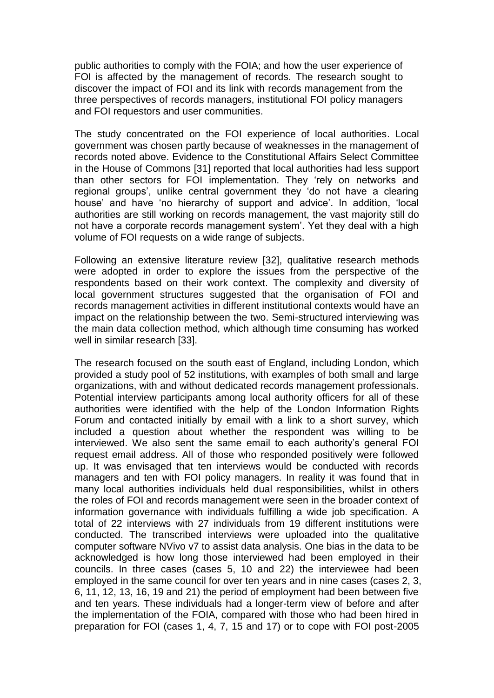public authorities to comply with the FOIA; and how the user experience of FOI is affected by the management of records. The research sought to discover the impact of FOI and its link with records management from the three perspectives of records managers, institutional FOI policy managers and FOI requestors and user communities.

The study concentrated on the FOI experience of local authorities. Local government was chosen partly because of weaknesses in the management of records noted above. Evidence to the Constitutional Affairs Select Committee in the House of Commons [31] reported that local authorities had less support than other sectors for FOI implementation. They 'rely on networks and regional groups', unlike central government they 'do not have a clearing house' and have 'no hierarchy of support and advice'. In addition, 'local authorities are still working on records management, the vast majority still do not have a corporate records management system'. Yet they deal with a high volume of FOI requests on a wide range of subjects.

Following an extensive literature review [32], qualitative research methods were adopted in order to explore the issues from the perspective of the respondents based on their work context. The complexity and diversity of local government structures suggested that the organisation of FOI and records management activities in different institutional contexts would have an impact on the relationship between the two. Semi-structured interviewing was the main data collection method, which although time consuming has worked well in similar research [33].

The research focused on the south east of England, including London, which provided a study pool of 52 institutions, with examples of both small and large organizations, with and without dedicated records management professionals. Potential interview participants among local authority officers for all of these authorities were identified with the help of the London Information Rights Forum and contacted initially by email with a link to a short survey, which included a question about whether the respondent was willing to be interviewed. We also sent the same email to each authority's general FOI request email address. All of those who responded positively were followed up. It was envisaged that ten interviews would be conducted with records managers and ten with FOI policy managers. In reality it was found that in many local authorities individuals held dual responsibilities, whilst in others the roles of FOI and records management were seen in the broader context of information governance with individuals fulfilling a wide job specification. A total of 22 interviews with 27 individuals from 19 different institutions were conducted. The transcribed interviews were uploaded into the qualitative computer software NVivo v7 to assist data analysis. One bias in the data to be acknowledged is how long those interviewed had been employed in their councils. In three cases (cases 5, 10 and 22) the interviewee had been employed in the same council for over ten years and in nine cases (cases 2, 3, 6, 11, 12, 13, 16, 19 and 21) the period of employment had been between five and ten years. These individuals had a longer-term view of before and after the implementation of the FOIA, compared with those who had been hired in preparation for FOI (cases 1, 4, 7, 15 and 17) or to cope with FOI post-2005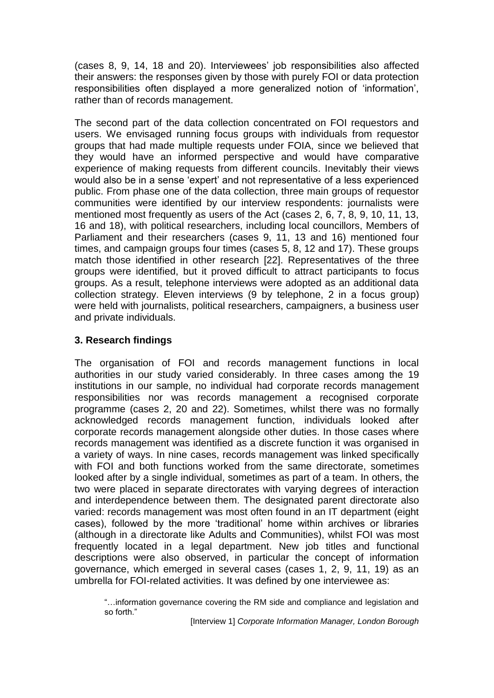(cases 8, 9, 14, 18 and 20). Interviewees' job responsibilities also affected their answers: the responses given by those with purely FOI or data protection responsibilities often displayed a more generalized notion of 'information', rather than of records management.

The second part of the data collection concentrated on FOI requestors and users. We envisaged running focus groups with individuals from requestor groups that had made multiple requests under FOIA, since we believed that they would have an informed perspective and would have comparative experience of making requests from different councils. Inevitably their views would also be in a sense 'expert' and not representative of a less experienced public. From phase one of the data collection, three main groups of requestor communities were identified by our interview respondents: journalists were mentioned most frequently as users of the Act (cases 2, 6, 7, 8, 9, 10, 11, 13, 16 and 18), with political researchers, including local councillors, Members of Parliament and their researchers (cases 9, 11, 13 and 16) mentioned four times, and campaign groups four times (cases 5, 8, 12 and 17). These groups match those identified in other research [22]. Representatives of the three groups were identified, but it proved difficult to attract participants to focus groups. As a result, telephone interviews were adopted as an additional data collection strategy. Eleven interviews (9 by telephone, 2 in a focus group) were held with journalists, political researchers, campaigners, a business user and private individuals.

# **3. Research findings**

The organisation of FOI and records management functions in local authorities in our study varied considerably. In three cases among the 19 institutions in our sample, no individual had corporate records management responsibilities nor was records management a recognised corporate programme (cases 2, 20 and 22). Sometimes, whilst there was no formally acknowledged records management function, individuals looked after corporate records management alongside other duties. In those cases where records management was identified as a discrete function it was organised in a variety of ways. In nine cases, records management was linked specifically with FOI and both functions worked from the same directorate, sometimes looked after by a single individual, sometimes as part of a team. In others, the two were placed in separate directorates with varying degrees of interaction and interdependence between them. The designated parent directorate also varied: records management was most often found in an IT department (eight cases), followed by the more 'traditional' home within archives or libraries (although in a directorate like Adults and Communities), whilst FOI was most frequently located in a legal department. New job titles and functional descriptions were also observed, in particular the concept of information governance, which emerged in several cases (cases 1, 2, 9, 11, 19) as an umbrella for FOI-related activities. It was defined by one interviewee as:

"…information governance covering the RM side and compliance and legislation and so forth."

[Interview 1] *Corporate Information Manager, London Borough*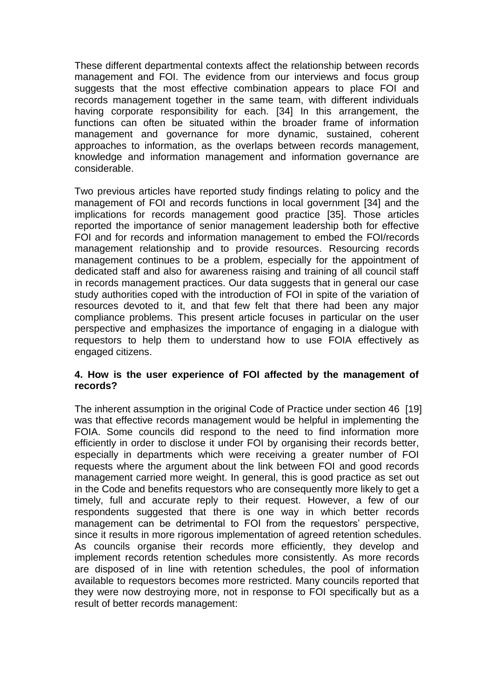These different departmental contexts affect the relationship between records management and FOI. The evidence from our interviews and focus group suggests that the most effective combination appears to place FOI and records management together in the same team, with different individuals having corporate responsibility for each. [34] In this arrangement, the functions can often be situated within the broader frame of information management and governance for more dynamic, sustained, coherent approaches to information, as the overlaps between records management, knowledge and information management and information governance are considerable.

Two previous articles have reported study findings relating to policy and the management of FOI and records functions in local government [34] and the implications for records management good practice [35]. Those articles reported the importance of senior management leadership both for effective FOI and for records and information management to embed the FOI/records management relationship and to provide resources. Resourcing records management continues to be a problem, especially for the appointment of dedicated staff and also for awareness raising and training of all council staff in records management practices. Our data suggests that in general our case study authorities coped with the introduction of FOI in spite of the variation of resources devoted to it, and that few felt that there had been any major compliance problems. This present article focuses in particular on the user perspective and emphasizes the importance of engaging in a dialogue with requestors to help them to understand how to use FOIA effectively as engaged citizens.

# **4. How is the user experience of FOI affected by the management of records?**

The inherent assumption in the original Code of Practice under section 46 [19] was that effective records management would be helpful in implementing the FOIA. Some councils did respond to the need to find information more efficiently in order to disclose it under FOI by organising their records better, especially in departments which were receiving a greater number of FOI requests where the argument about the link between FOI and good records management carried more weight. In general, this is good practice as set out in the Code and benefits requestors who are consequently more likely to get a timely, full and accurate reply to their request. However, a few of our respondents suggested that there is one way in which better records management can be detrimental to FOI from the requestors' perspective, since it results in more rigorous implementation of agreed retention schedules. As councils organise their records more efficiently, they develop and implement records retention schedules more consistently. As more records are disposed of in line with retention schedules, the pool of information available to requestors becomes more restricted. Many councils reported that they were now destroying more, not in response to FOI specifically but as a result of better records management: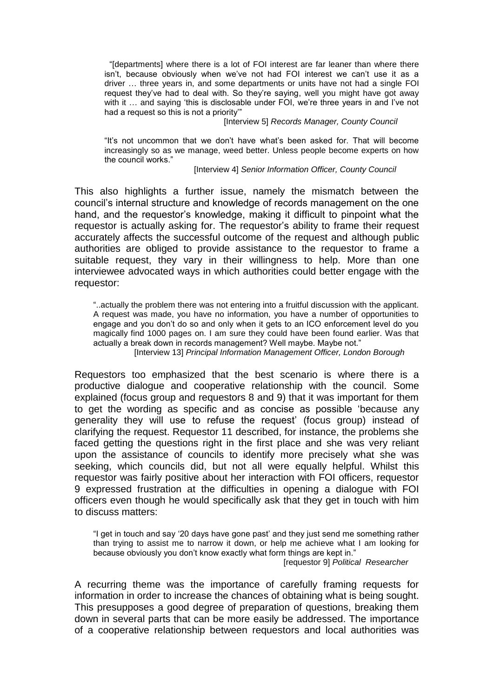"[departments] where there is a lot of FOI interest are far leaner than where there isn't, because obviously when we've not had FOI interest we can't use it as a driver … three years in, and some departments or units have not had a single FOI request they've had to deal with. So they're saying, well you might have got away with it … and saying 'this is disclosable under FOI, we're three years in and I've not had a request so this is not a priority'"

[Interview 5] *Records Manager, County Council*

"It's not uncommon that we don't have what's been asked for. That will become increasingly so as we manage, weed better. Unless people become experts on how the council works."

[Interview 4] *Senior Information Officer, County Council*

This also highlights a further issue, namely the mismatch between the council's internal structure and knowledge of records management on the one hand, and the requestor's knowledge, making it difficult to pinpoint what the requestor is actually asking for. The requestor's ability to frame their request accurately affects the successful outcome of the request and although public authorities are obliged to provide assistance to the requestor to frame a suitable request, they vary in their willingness to help. More than one interviewee advocated ways in which authorities could better engage with the requestor:

"..actually the problem there was not entering into a fruitful discussion with the applicant. A request was made, you have no information, you have a number of opportunities to engage and you don't do so and only when it gets to an ICO enforcement level do you magically find 1000 pages on. I am sure they could have been found earlier. Was that actually a break down in records management? Well maybe. Maybe not."

[Interview 13] *Principal Information Management Officer, London Borough*

Requestors too emphasized that the best scenario is where there is a productive dialogue and cooperative relationship with the council. Some explained (focus group and requestors 8 and 9) that it was important for them to get the wording as specific and as concise as possible 'because any generality they will use to refuse the request' (focus group) instead of clarifying the request. Requestor 11 described, for instance, the problems she faced getting the questions right in the first place and she was very reliant upon the assistance of councils to identify more precisely what she was seeking, which councils did, but not all were equally helpful. Whilst this requestor was fairly positive about her interaction with FOI officers, requestor 9 expressed frustration at the difficulties in opening a dialogue with FOI officers even though he would specifically ask that they get in touch with him to discuss matters:

"I get in touch and say '20 days have gone past' and they just send me something rather than trying to assist me to narrow it down, or help me achieve what I am looking for because obviously you don't know exactly what form things are kept in."

[requestor 9] *Political Researcher*

A recurring theme was the importance of carefully framing requests for information in order to increase the chances of obtaining what is being sought. This presupposes a good degree of preparation of questions, breaking them down in several parts that can be more easily be addressed. The importance of a cooperative relationship between requestors and local authorities was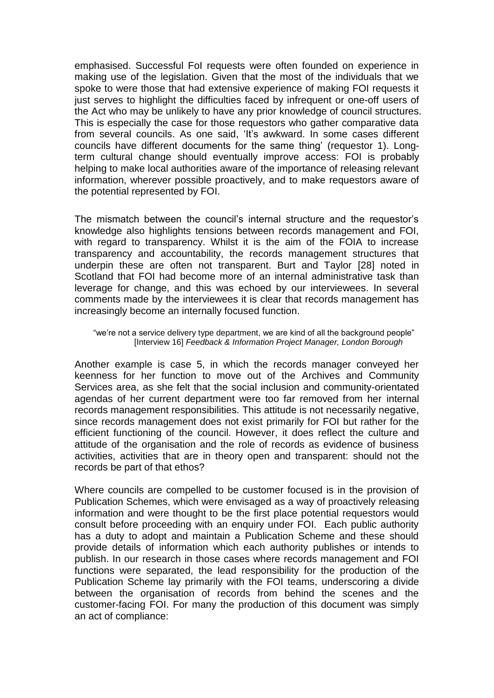emphasised. Successful FoI requests were often founded on experience in making use of the legislation. Given that the most of the individuals that we spoke to were those that had extensive experience of making FOI requests it just serves to highlight the difficulties faced by infrequent or one-off users of the Act who may be unlikely to have any prior knowledge of council structures. This is especially the case for those requestors who gather comparative data from several councils. As one said, 'It's awkward. In some cases different councils have different documents for the same thing' (requestor 1). Longterm cultural change should eventually improve access: FOI is probably helping to make local authorities aware of the importance of releasing relevant information, wherever possible proactively, and to make requestors aware of the potential represented by FOI.

The mismatch between the council's internal structure and the requestor's knowledge also highlights tensions between records management and FOI, with regard to transparency. Whilst it is the aim of the FOIA to increase transparency and accountability, the records management structures that underpin these are often not transparent. Burt and Taylor [28] noted in Scotland that FOI had become more of an internal administrative task than leverage for change, and this was echoed by our interviewees. In several comments made by the interviewees it is clear that records management has increasingly become an internally focused function.

#### "we're not a service delivery type department, we are kind of all the background people" [Interview 16] *Feedback & Information Project Manager, London Borough*

Another example is case 5, in which the records manager conveyed her keenness for her function to move out of the Archives and Community Services area, as she felt that the social inclusion and community-orientated agendas of her current department were too far removed from her internal records management responsibilities. This attitude is not necessarily negative, since records management does not exist primarily for FOI but rather for the efficient functioning of the council. However, it does reflect the culture and attitude of the organisation and the role of records as evidence of business activities, activities that are in theory open and transparent: should not the records be part of that ethos?

Where councils are compelled to be customer focused is in the provision of Publication Schemes, which were envisaged as a way of proactively releasing information and were thought to be the first place potential requestors would consult before proceeding with an enquiry under FOI. Each public authority has a duty to adopt and maintain a Publication Scheme and these should provide details of information which each authority publishes or intends to publish. In our research in those cases where records management and FOI functions were separated, the lead responsibility for the production of the Publication Scheme lay primarily with the FOI teams, underscoring a divide between the organisation of records from behind the scenes and the customer-facing FOI. For many the production of this document was simply an act of compliance: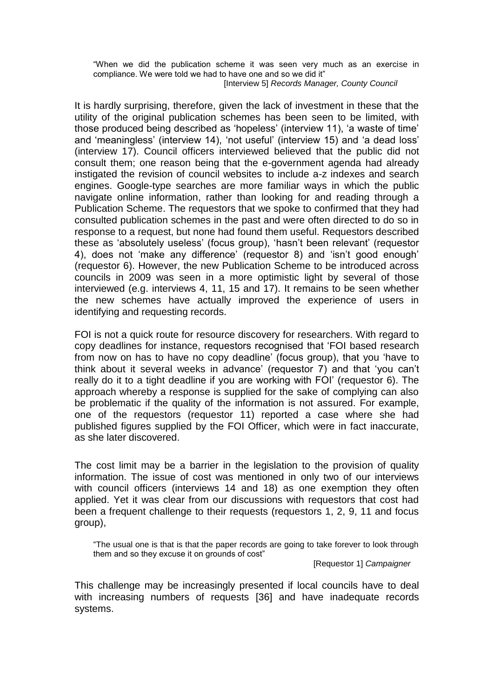"When we did the publication scheme it was seen very much as an exercise in compliance. We were told we had to have one and so we did it" [Interview 5] *Records Manager, County Council*

It is hardly surprising, therefore, given the lack of investment in these that the utility of the original publication schemes has been seen to be limited, with those produced being described as 'hopeless' (interview 11), 'a waste of time' and 'meaningless' (interview 14), 'not useful' (interview 15) and 'a dead loss' (interview 17). Council officers interviewed believed that the public did not consult them; one reason being that the e-government agenda had already instigated the revision of council websites to include a-z indexes and search engines. Google-type searches are more familiar ways in which the public navigate online information, rather than looking for and reading through a Publication Scheme. The requestors that we spoke to confirmed that they had consulted publication schemes in the past and were often directed to do so in response to a request, but none had found them useful. Requestors described these as 'absolutely useless' (focus group), 'hasn't been relevant' (requestor 4), does not 'make any difference' (requestor 8) and 'isn't good enough' (requestor 6). However, the new Publication Scheme to be introduced across councils in 2009 was seen in a more optimistic light by several of those interviewed (e.g. interviews 4, 11, 15 and 17). It remains to be seen whether the new schemes have actually improved the experience of users in identifying and requesting records.

FOI is not a quick route for resource discovery for researchers. With regard to copy deadlines for instance, requestors recognised that 'FOI based research from now on has to have no copy deadline' (focus group), that you 'have to think about it several weeks in advance' (requestor 7) and that 'you can't really do it to a tight deadline if you are working with FOI' (requestor 6). The approach whereby a response is supplied for the sake of complying can also be problematic if the quality of the information is not assured. For example, one of the requestors (requestor 11) reported a case where she had published figures supplied by the FOI Officer, which were in fact inaccurate, as she later discovered.

The cost limit may be a barrier in the legislation to the provision of quality information. The issue of cost was mentioned in only two of our interviews with council officers (interviews 14 and 18) as one exemption they often applied. Yet it was clear from our discussions with requestors that cost had been a frequent challenge to their requests (requestors 1, 2, 9, 11 and focus group),

"The usual one is that is that the paper records are going to take forever to look through them and so they excuse it on grounds of cost"

[Requestor 1] *Campaigner*

This challenge may be increasingly presented if local councils have to deal with increasing numbers of requests [36] and have inadequate records systems.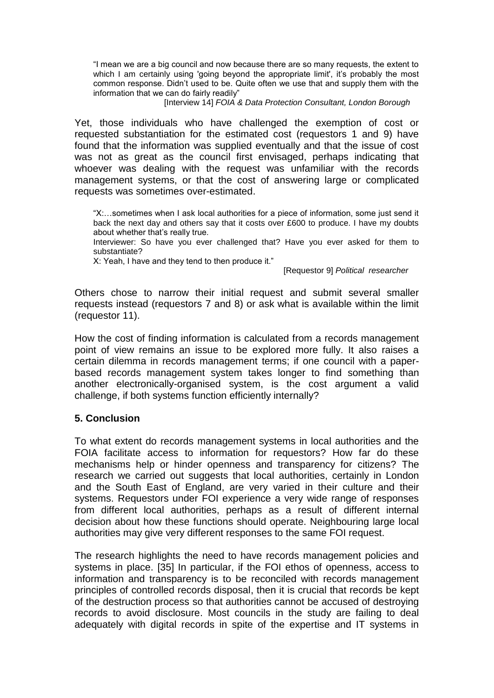"I mean we are a big council and now because there are so many requests, the extent to which I am certainly using 'going beyond the appropriate limit', it's probably the most common response. Didn't used to be. Quite often we use that and supply them with the information that we can do fairly readily"

[Interview 14] *FOIA & Data Protection Consultant, London Borough*

Yet, those individuals who have challenged the exemption of cost or requested substantiation for the estimated cost (requestors 1 and 9) have found that the information was supplied eventually and that the issue of cost was not as great as the council first envisaged, perhaps indicating that whoever was dealing with the request was unfamiliar with the records management systems, or that the cost of answering large or complicated requests was sometimes over-estimated.

"X:…sometimes when I ask local authorities for a piece of information, some just send it back the next day and others say that it costs over £600 to produce. I have my doubts about whether that's really true.

Interviewer: So have you ever challenged that? Have you ever asked for them to substantiate?

X: Yeah, I have and they tend to then produce it."

[Requestor 9] *Political researcher*

Others chose to narrow their initial request and submit several smaller requests instead (requestors 7 and 8) or ask what is available within the limit (requestor 11).

How the cost of finding information is calculated from a records management point of view remains an issue to be explored more fully. It also raises a certain dilemma in records management terms; if one council with a paperbased records management system takes longer to find something than another electronically-organised system, is the cost argument a valid challenge, if both systems function efficiently internally?

## **5. Conclusion**

To what extent do records management systems in local authorities and the FOIA facilitate access to information for requestors? How far do these mechanisms help or hinder openness and transparency for citizens? The research we carried out suggests that local authorities, certainly in London and the South East of England, are very varied in their culture and their systems. Requestors under FOI experience a very wide range of responses from different local authorities, perhaps as a result of different internal decision about how these functions should operate. Neighbouring large local authorities may give very different responses to the same FOI request.

The research highlights the need to have records management policies and systems in place. [35] In particular, if the FOI ethos of openness, access to information and transparency is to be reconciled with records management principles of controlled records disposal, then it is crucial that records be kept of the destruction process so that authorities cannot be accused of destroying records to avoid disclosure. Most councils in the study are failing to deal adequately with digital records in spite of the expertise and IT systems in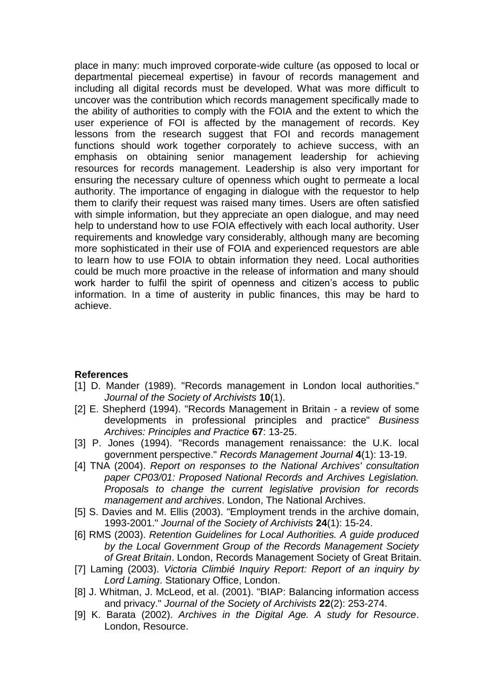place in many: much improved corporate-wide culture (as opposed to local or departmental piecemeal expertise) in favour of records management and including all digital records must be developed. What was more difficult to uncover was the contribution which records management specifically made to the ability of authorities to comply with the FOIA and the extent to which the user experience of FOI is affected by the management of records. Key lessons from the research suggest that FOI and records management functions should work together corporately to achieve success, with an emphasis on obtaining senior management leadership for achieving resources for records management. Leadership is also very important for ensuring the necessary culture of openness which ought to permeate a local authority. The importance of engaging in dialogue with the requestor to help them to clarify their request was raised many times. Users are often satisfied with simple information, but they appreciate an open dialogue, and may need help to understand how to use FOIA effectively with each local authority. User requirements and knowledge vary considerably, although many are becoming more sophisticated in their use of FOIA and experienced requestors are able to learn how to use FOIA to obtain information they need. Local authorities could be much more proactive in the release of information and many should work harder to fulfil the spirit of openness and citizen's access to public information. In a time of austerity in public finances, this may be hard to achieve.

## **References**

- [1] D. Mander (1989). "Records management in London local authorities." *Journal of the Society of Archivists* **10**(1).
- [2] E. Shepherd (1994). "Records Management in Britain a review of some developments in professional principles and practice" *Business Archives: Principles and Practice* **67**: 13-25.
- [3] P. Jones (1994). "Records management renaissance: the U.K. local government perspective." *Records Management Journal* **4**(1): 13-19.
- [4] TNA (2004). *Report on responses to the National Archives' consultation paper CP03/01: Proposed National Records and Archives Legislation. Proposals to change the current legislative provision for records management and archives*. London, The National Archives.
- [5] S. Davies and M. Ellis (2003). "Employment trends in the archive domain, 1993-2001." *Journal of the Society of Archivists* **24**(1): 15-24.
- [6] RMS (2003). *Retention Guidelines for Local Authorities. A guide produced by the Local Government Group of the Records Management Society of Great Britain*. London, Records Management Society of Great Britain.
- [7] Laming (2003). *Victoria Climbié Inquiry Report: Report of an inquiry by Lord Laming*. Stationary Office, London.
- [8] J. Whitman, J. McLeod, et al. (2001). "BIAP: Balancing information access and privacy." *Journal of the Society of Archivists* **22**(2): 253-274.
- [9] K. Barata (2002). *Archives in the Digital Age. A study for Resource*. London, Resource.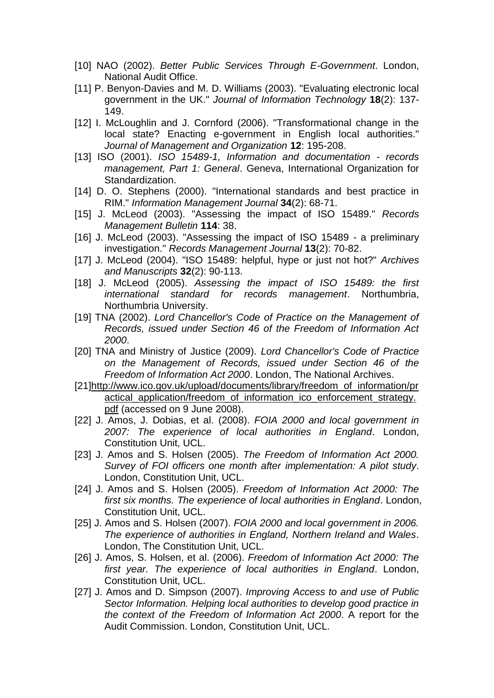- [10] NAO (2002). *Better Public Services Through E-Government*. London, National Audit Office.
- [11] P. Benyon-Davies and M. D. Williams (2003). "Evaluating electronic local government in the UK." *Journal of Information Technology* **18**(2): 137- 149.
- [12] I. McLoughlin and J. Cornford (2006). "Transformational change in the local state? Enacting e-government in English local authorities." *Journal of Management and Organization* **12**: 195-208.
- [13] ISO (2001). *ISO 15489-1, Information and documentation - records management, Part 1: General*. Geneva, International Organization for Standardization.
- [14] D. O. Stephens (2000). "International standards and best practice in RIM." *Information Management Journal* **34**(2): 68-71.
- [15] J. McLeod (2003). "Assessing the impact of ISO 15489." *Records Management Bulletin* **114**: 38.
- [16] J. McLeod (2003). "Assessing the impact of ISO 15489 a preliminary investigation." *Records Management Journal* **13**(2): 70-82.
- [17] J. McLeod (2004). "ISO 15489: helpful, hype or just not hot?" *Archives and Manuscripts* **32**(2): 90-113.
- [18] J. McLeod (2005). *Assessing the impact of ISO 15489: the first international standard for records management*. Northumbria, Northumbria University.
- [19] TNA (2002). *Lord Chancellor's Code of Practice on the Management of Records, issued under Section 46 of the Freedom of Information Act 2000*.
- [20] TNA and Ministry of Justice (2009). *Lord Chancellor's Code of Practice on the Management of Records, issued under Section 46 of the Freedom of Information Act 2000*. London, The National Archives.
- [21[\]http://www.ico.gov.uk/upload/documents/library/freedom\\_of\\_information/pr](http://www.ico.gov.uk/upload/documents/library/freedom_of_information/practical_application/freedom_of_information_ico_enforcement_strategy.pdf) [actical\\_application/freedom\\_of\\_information\\_ico\\_enforcement\\_strategy.](http://www.ico.gov.uk/upload/documents/library/freedom_of_information/practical_application/freedom_of_information_ico_enforcement_strategy.pdf) [pdf](http://www.ico.gov.uk/upload/documents/library/freedom_of_information/practical_application/freedom_of_information_ico_enforcement_strategy.pdf) (accessed on 9 June 2008).
- [22] J. Amos, J. Dobias, et al. (2008). *FOIA 2000 and local government in 2007: The experience of local authorities in England*. London, Constitution Unit, UCL.
- [23] J. Amos and S. Holsen (2005). *The Freedom of Information Act 2000. Survey of FOI officers one month after implementation: A pilot study*. London, Constitution Unit, UCL.
- [24] J. Amos and S. Holsen (2005). *Freedom of Information Act 2000: The first six months. The experience of local authorities in England*. London, Constitution Unit, UCL.
- [25] J. Amos and S. Holsen (2007). *FOIA 2000 and local government in 2006. The experience of authorities in England, Northern Ireland and Wales*. London, The Constitution Unit, UCL.
- [26] J. Amos, S. Holsen, et al. (2006). *Freedom of Information Act 2000: The first year. The experience of local authorities in England*. London, Constitution Unit, UCL.
- [27] J. Amos and D. Simpson (2007). *Improving Access to and use of Public Sector Information. Helping local authorities to develop good practice in the context of the Freedom of Information Act 2000*. A report for the Audit Commission. London, Constitution Unit, UCL.